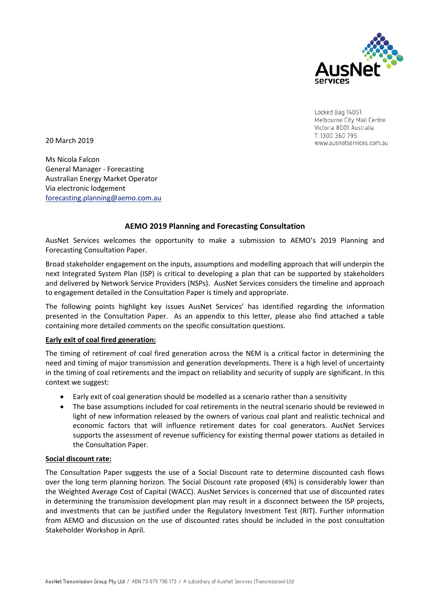

Locked Bag 14051 Melbourne City Mail Centre Victoria 8001 Australia T: 1300 360 795 www.ausnetservices.com.au

20 March 2019

Ms Nicola Falcon General Manager - Forecasting Australian Energy Market Operator Via electronic lodgement [forecasting.planning@aemo.com.au](mailto:forecasting.planning@aemo.com.au)

# **AEMO 2019 Planning and Forecasting Consultation**

AusNet Services welcomes the opportunity to make a submission to AEMO's 2019 Planning and Forecasting Consultation Paper.

Broad stakeholder engagement on the inputs, assumptions and modelling approach that will underpin the next Integrated System Plan (ISP) is critical to developing a plan that can be supported by stakeholders and delivered by Network Service Providers (NSPs). AusNet Services considers the timeline and approach to engagement detailed in the Consultation Paper is timely and appropriate.

The following points highlight key issues AusNet Services' has identified regarding the information presented in the Consultation Paper. As an appendix to this letter, please also find attached a table containing more detailed comments on the specific consultation questions.

# **Early exit of coal fired generation:**

The timing of retirement of coal fired generation across the NEM is a critical factor in determining the need and timing of major transmission and generation developments. There is a high level of uncertainty in the timing of coal retirements and the impact on reliability and security of supply are significant. In this context we suggest:

- Early exit of coal generation should be modelled as a scenario rather than a sensitivity
- The base assumptions included for coal retirements in the neutral scenario should be reviewed in light of new information released by the owners of various coal plant and realistic technical and economic factors that will influence retirement dates for coal generators. AusNet Services supports the assessment of revenue sufficiency for existing thermal power stations as detailed in the Consultation Paper.

## **Social discount rate:**

The Consultation Paper suggests the use of a Social Discount rate to determine discounted cash flows over the long term planning horizon. The Social Discount rate proposed (4%) is considerably lower than the Weighted Average Cost of Capital (WACC). AusNet Services is concerned that use of discounted rates in determining the transmission development plan may result in a disconnect between the ISP projects, and investments that can be justified under the Regulatory Investment Test (RIT). Further information from AEMO and discussion on the use of discounted rates should be included in the post consultation Stakeholder Workshop in April.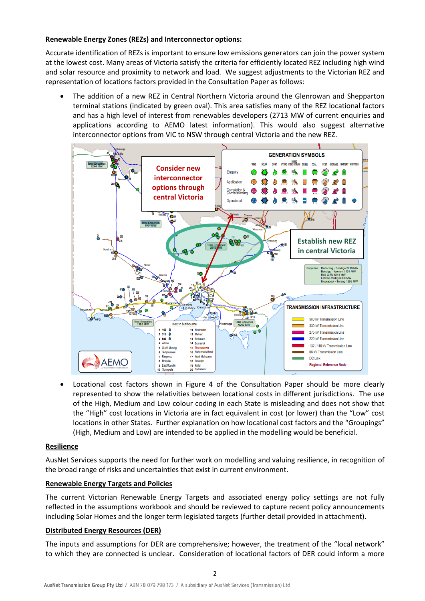## **Renewable Energy Zones (REZs) and Interconnector options:**

Accurate identification of REZs is important to ensure low emissions generators can join the power system at the lowest cost. Many areas of Victoria satisfy the criteria for efficiently located REZ including high wind and solar resource and proximity to network and load. We suggest adjustments to the Victorian REZ and representation of locations factors provided in the Consultation Paper as follows:

• The addition of a new REZ in Central Northern Victoria around the Glenrowan and Shepparton terminal stations (indicated by green oval). This area satisfies many of the REZ locational factors and has a high level of interest from renewables developers (2713 MW of current enquiries and applications according to AEMO latest information). This would also suggest alternative interconnector options from VIC to NSW through central Victoria and the new REZ.



• Locational cost factors shown in Figure 4 of the Consultation Paper should be more clearly represented to show the relativities between locational costs in different jurisdictions. The use of the High, Medium and Low colour coding in each State is misleading and does not show that the "High" cost locations in Victoria are in fact equivalent in cost (or lower) than the "Low" cost locations in other States. Further explanation on how locational cost factors and the "Groupings" (High, Medium and Low) are intended to be applied in the modelling would be beneficial.

# **Resilience**

AusNet Services supports the need for further work on modelling and valuing resilience, in recognition of the broad range of risks and uncertainties that exist in current environment.

## **Renewable Energy Targets and Policies**

The current Victorian Renewable Energy Targets and associated energy policy settings are not fully reflected in the assumptions workbook and should be reviewed to capture recent policy announcements including Solar Homes and the longer term legislated targets (further detail provided in attachment).

## **Distributed Energy Resources (DER)**

The inputs and assumptions for DER are comprehensive; however, the treatment of the "local network" to which they are connected is unclear. Consideration of locational factors of DER could inform a more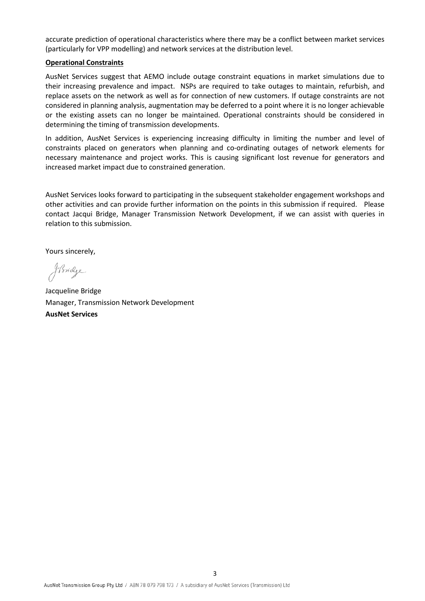accurate prediction of operational characteristics where there may be a conflict between market services (particularly for VPP modelling) and network services at the distribution level.

#### **Operational Constraints**

AusNet Services suggest that AEMO include outage constraint equations in market simulations due to their increasing prevalence and impact. NSPs are required to take outages to maintain, refurbish, and replace assets on the network as well as for connection of new customers. If outage constraints are not considered in planning analysis, augmentation may be deferred to a point where it is no longer achievable or the existing assets can no longer be maintained. Operational constraints should be considered in determining the timing of transmission developments.

In addition, AusNet Services is experiencing increasing difficulty in limiting the number and level of constraints placed on generators when planning and co-ordinating outages of network elements for necessary maintenance and project works. This is causing significant lost revenue for generators and increased market impact due to constrained generation.

AusNet Services looks forward to participating in the subsequent stakeholder engagement workshops and other activities and can provide further information on the points in this submission if required. Please contact Jacqui Bridge, Manager Transmission Network Development, if we can assist with queries in relation to this submission.

Yours sincerely,

Johndge

Jacqueline Bridge Manager, Transmission Network Development **AusNet Services**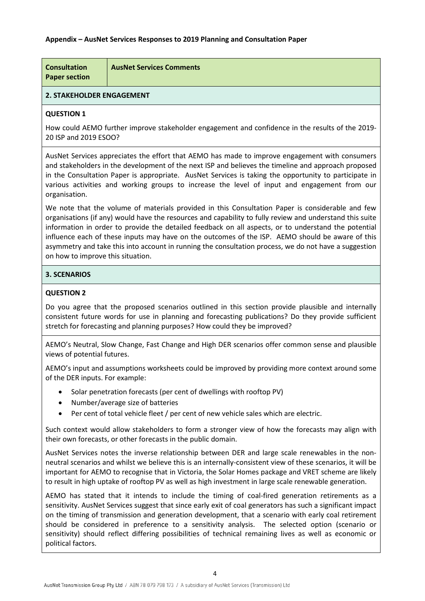## **Appendix – AusNet Services Responses to 2019 Planning and Consultation Paper**

| <b>Consultation</b><br><b>Paper section</b> | <b>AusNet Services Comments</b> |
|---------------------------------------------|---------------------------------|
|---------------------------------------------|---------------------------------|

## **2. STAKEHOLDER ENGAGEMENT**

#### **QUESTION 1**

How could AEMO further improve stakeholder engagement and confidence in the results of the 2019- 20 ISP and 2019 ESOO?

AusNet Services appreciates the effort that AEMO has made to improve engagement with consumers and stakeholders in the development of the next ISP and believes the timeline and approach proposed in the Consultation Paper is appropriate. AusNet Services is taking the opportunity to participate in various activities and working groups to increase the level of input and engagement from our organisation.

We note that the volume of materials provided in this Consultation Paper is considerable and few organisations (if any) would have the resources and capability to fully review and understand this suite information in order to provide the detailed feedback on all aspects, or to understand the potential influence each of these inputs may have on the outcomes of the ISP. AEMO should be aware of this asymmetry and take this into account in running the consultation process, we do not have a suggestion on how to improve this situation.

## **3. SCENARIOS**

## **QUESTION 2**

Do you agree that the proposed scenarios outlined in this section provide plausible and internally consistent future words for use in planning and forecasting publications? Do they provide sufficient stretch for forecasting and planning purposes? How could they be improved?

AEMO's Neutral, Slow Change, Fast Change and High DER scenarios offer common sense and plausible views of potential futures.

AEMO's input and assumptions worksheets could be improved by providing more context around some of the DER inputs. For example:

- Solar penetration forecasts (per cent of dwellings with rooftop PV)
- Number/average size of batteries
- Per cent of total vehicle fleet / per cent of new vehicle sales which are electric.

Such context would allow stakeholders to form a stronger view of how the forecasts may align with their own forecasts, or other forecasts in the public domain.

AusNet Services notes the inverse relationship between DER and large scale renewables in the nonneutral scenarios and whilst we believe this is an internally-consistent view of these scenarios, it will be important for AEMO to recognise that in Victoria, the Solar Homes package and VRET scheme are likely to result in high uptake of rooftop PV as well as high investment in large scale renewable generation.

AEMO has stated that it intends to include the timing of coal-fired generation retirements as a sensitivity. AusNet Services suggest that since early exit of coal generators has such a significant impact on the timing of transmission and generation development, that a scenario with early coal retirement should be considered in preference to a sensitivity analysis. The selected option (scenario or sensitivity) should reflect differing possibilities of technical remaining lives as well as economic or political factors.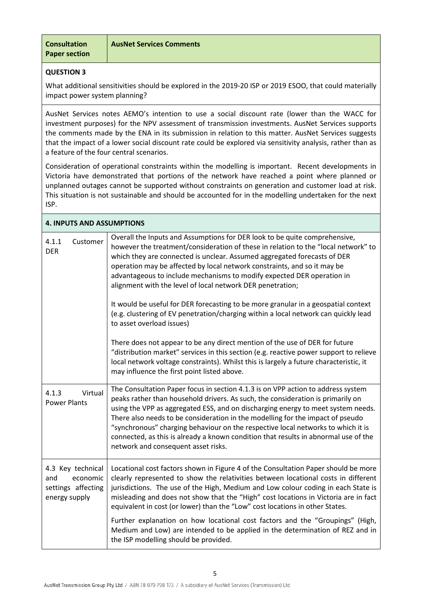**Consultation Paper section**

## **QUESTION 3**

What additional sensitivities should be explored in the 2019-20 ISP or 2019 ESOO, that could materially impact power system planning?

AusNet Services notes AEMO's intention to use a social discount rate (lower than the WACC for investment purposes) for the NPV assessment of transmission investments. AusNet Services supports the comments made by the ENA in its submission in relation to this matter. AusNet Services suggests that the impact of a lower social discount rate could be explored via sensitivity analysis, rather than as a feature of the four central scenarios.

Consideration of operational constraints within the modelling is important. Recent developments in Victoria have demonstrated that portions of the network have reached a point where planned or unplanned outages cannot be supported without constraints on generation and customer load at risk. This situation is not sustainable and should be accounted for in the modelling undertaken for the next ISP.

| <b>4. INPUTS AND ASSUMPTIONS</b>                                            |                                                                                                                                                                                                                                                                                                                                                                                                                                                                                                                                                                                                                                                                            |  |  |  |  |
|-----------------------------------------------------------------------------|----------------------------------------------------------------------------------------------------------------------------------------------------------------------------------------------------------------------------------------------------------------------------------------------------------------------------------------------------------------------------------------------------------------------------------------------------------------------------------------------------------------------------------------------------------------------------------------------------------------------------------------------------------------------------|--|--|--|--|
| 4.1.1<br>Customer<br><b>DER</b>                                             | Overall the Inputs and Assumptions for DER look to be quite comprehensive,<br>however the treatment/consideration of these in relation to the "local network" to<br>which they are connected is unclear. Assumed aggregated forecasts of DER<br>operation may be affected by local network constraints, and so it may be<br>advantageous to include mechanisms to modify expected DER operation in<br>alignment with the level of local network DER penetration;<br>It would be useful for DER forecasting to be more granular in a geospatial context<br>(e.g. clustering of EV penetration/charging within a local network can quickly lead<br>to asset overload issues) |  |  |  |  |
|                                                                             | There does not appear to be any direct mention of the use of DER for future<br>"distribution market" services in this section (e.g. reactive power support to relieve<br>local network voltage constraints). Whilst this is largely a future characteristic, it<br>may influence the first point listed above.                                                                                                                                                                                                                                                                                                                                                             |  |  |  |  |
| Virtual<br>4.1.3<br><b>Power Plants</b>                                     | The Consultation Paper focus in section 4.1.3 is on VPP action to address system<br>peaks rather than household drivers. As such, the consideration is primarily on<br>using the VPP as aggregated ESS, and on discharging energy to meet system needs.<br>There also needs to be consideration in the modelling for the impact of pseudo<br>"synchronous" charging behaviour on the respective local networks to which it is<br>connected, as this is already a known condition that results in abnormal use of the<br>network and consequent asset risks.                                                                                                                |  |  |  |  |
| 4.3 Key technical<br>and<br>economic<br>settings affecting<br>energy supply | Locational cost factors shown in Figure 4 of the Consultation Paper should be more<br>clearly represented to show the relativities between locational costs in different<br>jurisdictions. The use of the High, Medium and Low colour coding in each State is<br>misleading and does not show that the "High" cost locations in Victoria are in fact<br>equivalent in cost (or lower) than the "Low" cost locations in other States.                                                                                                                                                                                                                                       |  |  |  |  |
|                                                                             | Further explanation on how locational cost factors and the "Groupings" (High,<br>Medium and Low) are intended to be applied in the determination of REZ and in<br>the ISP modelling should be provided.                                                                                                                                                                                                                                                                                                                                                                                                                                                                    |  |  |  |  |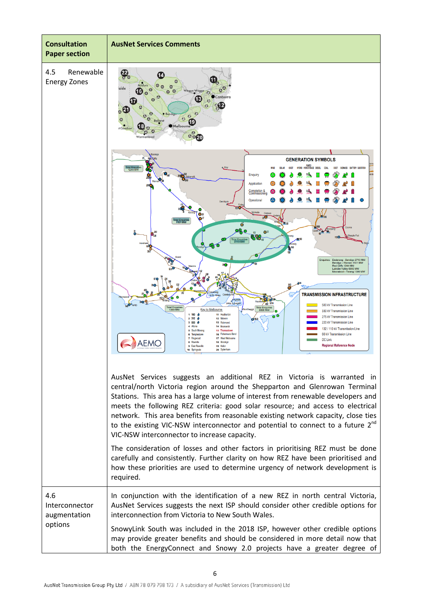| <b>Consultation</b><br><b>Paper section</b>      | <b>AusNet Services Comments</b>                                                                                                                                                                                                                                                                                                                                                                                                                                                                                                                                                                                                                                                                                                                                                                                                                                                                                                                                                                                                                                                                                                                                                                                                        |  |  |
|--------------------------------------------------|----------------------------------------------------------------------------------------------------------------------------------------------------------------------------------------------------------------------------------------------------------------------------------------------------------------------------------------------------------------------------------------------------------------------------------------------------------------------------------------------------------------------------------------------------------------------------------------------------------------------------------------------------------------------------------------------------------------------------------------------------------------------------------------------------------------------------------------------------------------------------------------------------------------------------------------------------------------------------------------------------------------------------------------------------------------------------------------------------------------------------------------------------------------------------------------------------------------------------------------|--|--|
| 4.5<br>Renewable<br><b>Energy Zones</b>          | ф.<br>aide<br>16<br>$\odot$<br>anberra<br>O.<br>Melbourn<br>0.07                                                                                                                                                                                                                                                                                                                                                                                                                                                                                                                                                                                                                                                                                                                                                                                                                                                                                                                                                                                                                                                                                                                                                                       |  |  |
|                                                  | <b>GENERATION SYMBOLS</b><br>PUMPED<br>Hydro Storage Diesel<br>COAL<br>Total Enquiri<br>1244 MW<br>Hay<br>COST<br><b>BIOMASS BATTERY SUBSTATION</b><br><b>Enquiry</b><br><b>Application</b><br>Completion &<br>Operational<br>tal Enquiri<br>1101 MW<br>O<br>O <sup>22</sup><br>Total Enquiries<br>2713 MW<br>Enquiries:<br>Dederang - Bendigo 2713 MW<br>Bendigo - Wemen 1101 MW<br>Red Cliffs 1244 MW<br>Latrobe Valley 6000 MW<br>Moorabool - Terang 1399 MW<br>$\ddot{\circ}$<br><b>TRANSMISSION INFRASTRUCTURE</b><br>Lo Pt Henn<br>o Tyabl<br>John Lysaghi<br>432<br>500 kV Transmission Line<br>Total Enquirie<br>Total Enquiries<br>6000 MW<br><b>Key to Melbourne</b><br>330 kV Transmission Line<br>$1 160$ $\delta$<br>11 Heatherton<br>275 kV Transmission Line<br>$2312$ $\frac{3}{2}$<br>12 Malvern<br>220 kV Transmission Line<br>$3,500$ $6$<br>13 Richmond<br>4 Altona<br>14 Brunswick<br>132 / 110 kV Transmission Line<br>5 South Morano<br>15 Thomastown<br>16 Fishermans Bend<br>66 kV Transmission Line<br>6 Templestoy<br>7 Ringwood<br>17 West Melbourne<br><b>DC Link</b><br>AEMC<br>8 Rowville<br>18 Brooklyn<br><b>Regional Reference Node</b><br>9 East Rowvi<br>19 Keilor<br>20 Sydenham<br>10 Soringvale |  |  |
|                                                  | AusNet Services suggests an additional REZ in Victoria is warranted in<br>central/north Victoria region around the Shepparton and Glenrowan Terminal<br>Stations. This area has a large volume of interest from renewable developers and<br>meets the following REZ criteria: good solar resource; and access to electrical<br>network. This area benefits from reasonable existing network capacity, close ties<br>to the existing VIC-NSW interconnector and potential to connect to a future 2 <sup>nd</sup><br>VIC-NSW interconnector to increase capacity.<br>The consideration of losses and other factors in prioritising REZ must be done<br>carefully and consistently. Further clarity on how REZ have been prioritised and<br>how these priorities are used to determine urgency of network development is<br>required.                                                                                                                                                                                                                                                                                                                                                                                                     |  |  |
| 4.6<br>Interconnector<br>augmentation<br>options | In conjunction with the identification of a new REZ in north central Victoria,<br>AusNet Services suggests the next ISP should consider other credible options for<br>interconnection from Victoria to New South Wales.<br>SnowyLink South was included in the 2018 ISP, however other credible options<br>may provide greater benefits and should be considered in more detail now that<br>both the EnergyConnect and Snowy 2.0 projects have a greater degree of                                                                                                                                                                                                                                                                                                                                                                                                                                                                                                                                                                                                                                                                                                                                                                     |  |  |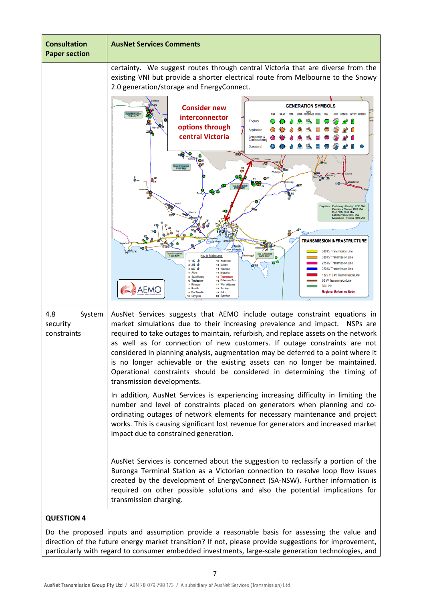

Do the proposed inputs and assumption provide a reasonable basis for assessing the value and direction of the future energy market transition? If not, please provide suggestions for improvement, particularly with regard to consumer embedded investments, large-scale generation technologies, and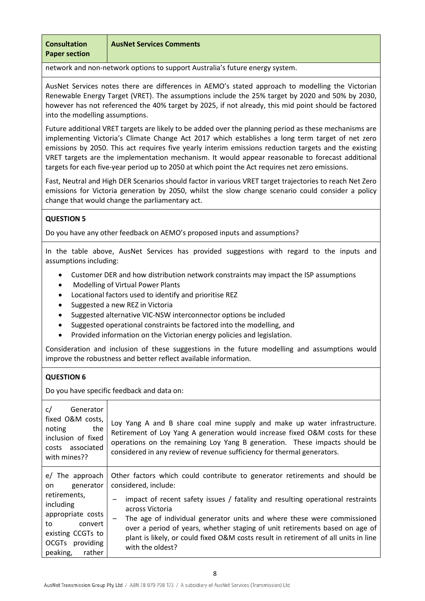**Consultation Paper section**

**AusNet Services Comments**

network and non-network options to support Australia's future energy system.

AusNet Services notes there are differences in AEMO's stated approach to modelling the Victorian Renewable Energy Target (VRET). The assumptions include the 25% target by 2020 and 50% by 2030, however has not referenced the 40% target by 2025, if not already, this mid point should be factored into the modelling assumptions.

Future additional VRET targets are likely to be added over the planning period as these mechanisms are implementing Victoria's Climate Change Act 2017 which establishes a long term target of net zero emissions by 2050. This act requires five yearly interim emissions reduction targets and the existing VRET targets are the implementation mechanism. It would appear reasonable to forecast additional targets for each five-year period up to 2050 at which point the Act requires net zero emissions.

Fast, Neutral and High DER Scenarios should factor in various VRET target trajectories to reach Net Zero emissions for Victoria generation by 2050, whilst the slow change scenario could consider a policy change that would change the parliamentary act.

# **QUESTION 5**

Do you have any other feedback on AEMO's proposed inputs and assumptions?

In the table above, AusNet Services has provided suggestions with regard to the inputs and assumptions including:

- Customer DER and how distribution network constraints may impact the ISP assumptions
- Modelling of Virtual Power Plants
- Locational factors used to identify and prioritise REZ
- Suggested a new REZ in Victoria
- Suggested alternative VIC-NSW interconnector options be included
- Suggested operational constraints be factored into the modelling, and
- Provided information on the Victorian energy policies and legislation.

Consideration and inclusion of these suggestions in the future modelling and assumptions would improve the robustness and better reflect available information.

# **QUESTION 6**

Do you have specific feedback and data on:

| Generator<br>c/<br>fixed O&M costs,<br>noting<br>the<br>inclusion of fixed<br>costs associated<br>with mines??                                                      | Loy Yang A and B share coal mine supply and make up water infrastructure.<br>Retirement of Loy Yang A generation would increase fixed O&M costs for these<br>operations on the remaining Loy Yang B generation. These impacts should be<br>considered in any review of revenue sufficiency for thermal generators.                                                                                                                                                            |
|---------------------------------------------------------------------------------------------------------------------------------------------------------------------|-------------------------------------------------------------------------------------------------------------------------------------------------------------------------------------------------------------------------------------------------------------------------------------------------------------------------------------------------------------------------------------------------------------------------------------------------------------------------------|
| e/ The approach<br>generator<br>on<br>retirements,<br>including<br>appropriate costs<br>to<br>convert<br>existing CCGTs to<br>OCGTs providing<br>peaking,<br>rather | Other factors which could contribute to generator retirements and should be<br>considered, include:<br>impact of recent safety issues / fatality and resulting operational restraints<br>across Victoria<br>The age of individual generator units and where these were commissioned<br>over a period of years, whether staging of unit retirements based on age of<br>plant is likely, or could fixed O&M costs result in retirement of all units in line<br>with the oldest? |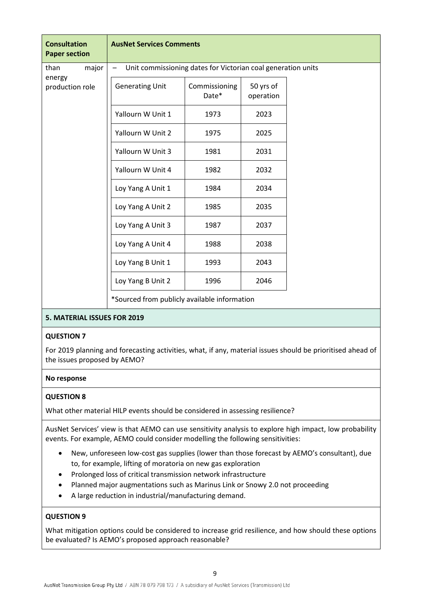| <b>Consultation</b><br><b>Paper section</b> | <b>AusNet Services Comments</b>                              |                        |                        |  |  |  |
|---------------------------------------------|--------------------------------------------------------------|------------------------|------------------------|--|--|--|
| major<br>than<br>energy<br>production role  | Unit commissioning dates for Victorian coal generation units |                        |                        |  |  |  |
|                                             | <b>Generating Unit</b>                                       | Commissioning<br>Date* | 50 yrs of<br>operation |  |  |  |
|                                             | Yallourn W Unit 1                                            | 1973                   | 2023                   |  |  |  |
|                                             | Yallourn W Unit 2                                            | 1975                   | 2025                   |  |  |  |
|                                             | Yallourn W Unit 3                                            | 1981                   | 2031                   |  |  |  |
|                                             | Yallourn W Unit 4                                            | 1982                   | 2032                   |  |  |  |
|                                             | Loy Yang A Unit 1                                            | 1984                   | 2034                   |  |  |  |
|                                             | Loy Yang A Unit 2                                            | 1985                   | 2035                   |  |  |  |
|                                             | Loy Yang A Unit 3                                            | 1987                   | 2037                   |  |  |  |
|                                             | Loy Yang A Unit 4                                            | 1988                   | 2038                   |  |  |  |
|                                             | Loy Yang B Unit 1                                            | 1993                   | 2043                   |  |  |  |
|                                             | Loy Yang B Unit 2                                            | 1996                   | 2046                   |  |  |  |
|                                             | *Sourced from publicly available information                 |                        |                        |  |  |  |

## **5. MATERIAL ISSUES FOR 2019**

#### **QUESTION 7**

For 2019 planning and forecasting activities, what, if any, material issues should be prioritised ahead of the issues proposed by AEMO?

## **No response**

## **QUESTION 8**

What other material HILP events should be considered in assessing resilience?

AusNet Services' view is that AEMO can use sensitivity analysis to explore high impact, low probability events. For example, AEMO could consider modelling the following sensitivities:

- New, unforeseen low-cost gas supplies (lower than those forecast by AEMO's consultant), due to, for example, lifting of moratoria on new gas exploration
- Prolonged loss of critical transmission network infrastructure
- Planned major augmentations such as Marinus Link or Snowy 2.0 not proceeding
- A large reduction in industrial/manufacturing demand.

#### **QUESTION 9**

What mitigation options could be considered to increase grid resilience, and how should these options be evaluated? Is AEMO's proposed approach reasonable?